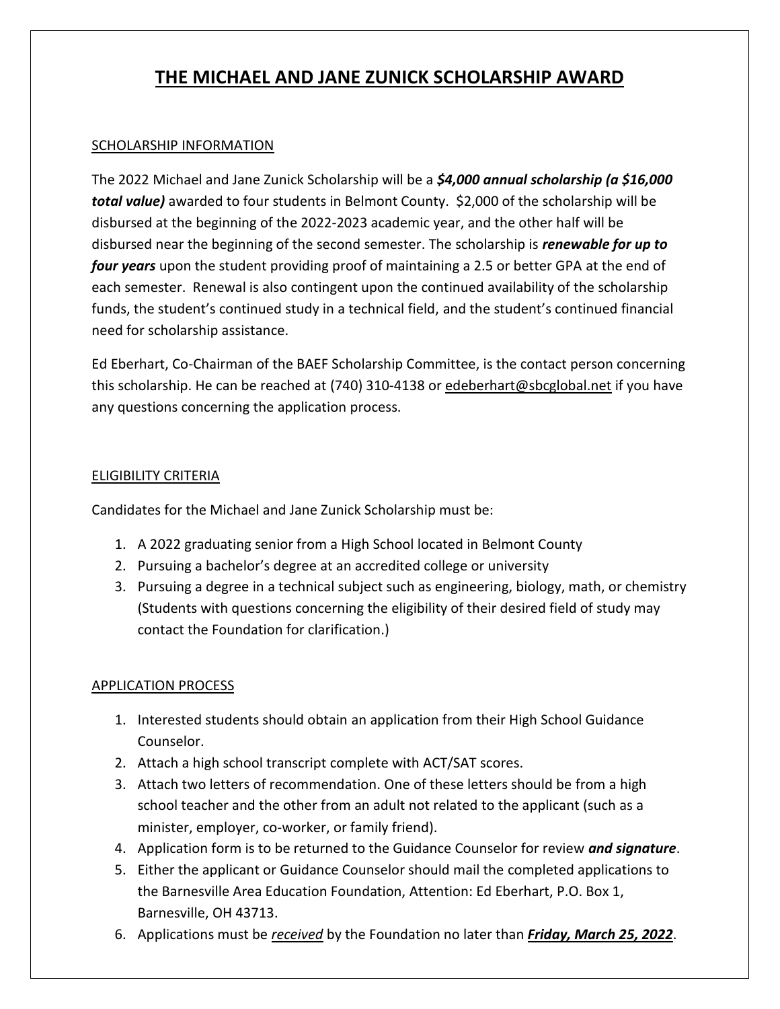## **THE MICHAEL AND JANE ZUNICK SCHOLARSHIP AWARD**

### SCHOLARSHIP INFORMATION

The 2022 Michael and Jane Zunick Scholarship will be a *\$4,000 annual scholarship (a \$16,000 total value)* awarded to four students in Belmont County. \$2,000 of the scholarship will be disbursed at the beginning of the 2022-2023 academic year, and the other half will be disbursed near the beginning of the second semester. The scholarship is *renewable for up to four years* upon the student providing proof of maintaining a 2.5 or better GPA at the end of each semester. Renewal is also contingent upon the continued availability of the scholarship funds, the student's continued study in a technical field, and the student's continued financial need for scholarship assistance.

Ed Eberhart, Co-Chairman of the BAEF Scholarship Committee, is the contact person concerning this scholarship. He can be reached at (740) 310-4138 or [edeberhart@sbcglobal.net](mailto:edeberhart@sbcglobal.net) if you have any questions concerning the application process.

### ELIGIBILITY CRITERIA

Candidates for the Michael and Jane Zunick Scholarship must be:

- 1. A 2022 graduating senior from a High School located in Belmont County
- 2. Pursuing a bachelor's degree at an accredited college or university
- 3. Pursuing a degree in a technical subject such as engineering, biology, math, or chemistry (Students with questions concerning the eligibility of their desired field of study may contact the Foundation for clarification.)

### APPLICATION PROCESS

- 1. Interested students should obtain an application from their High School Guidance Counselor.
- 2. Attach a high school transcript complete with ACT/SAT scores.
- 3. Attach two letters of recommendation. One of these letters should be from a high school teacher and the other from an adult not related to the applicant (such as a minister, employer, co-worker, or family friend).
- 4. Application form is to be returned to the Guidance Counselor for review *and signature*.
- 5. Either the applicant or Guidance Counselor should mail the completed applications to the Barnesville Area Education Foundation, Attention: Ed Eberhart, P.O. Box 1, Barnesville, OH 43713.
- 6. Applications must be *received* by the Foundation no later than *Friday, March 25, 2022*.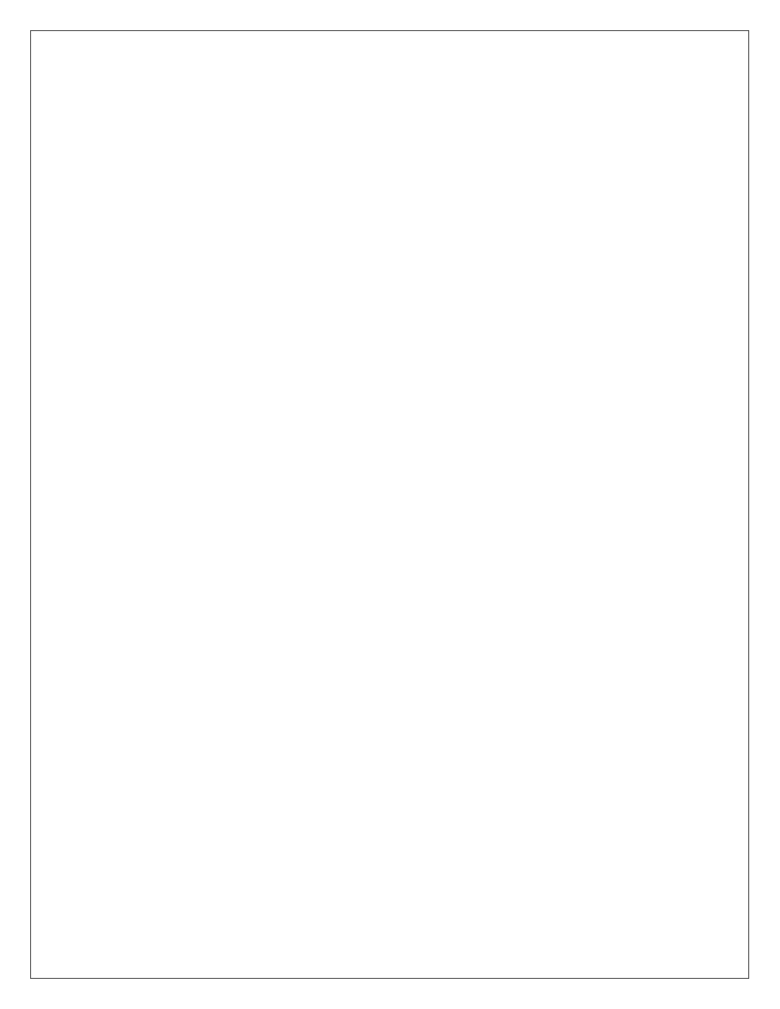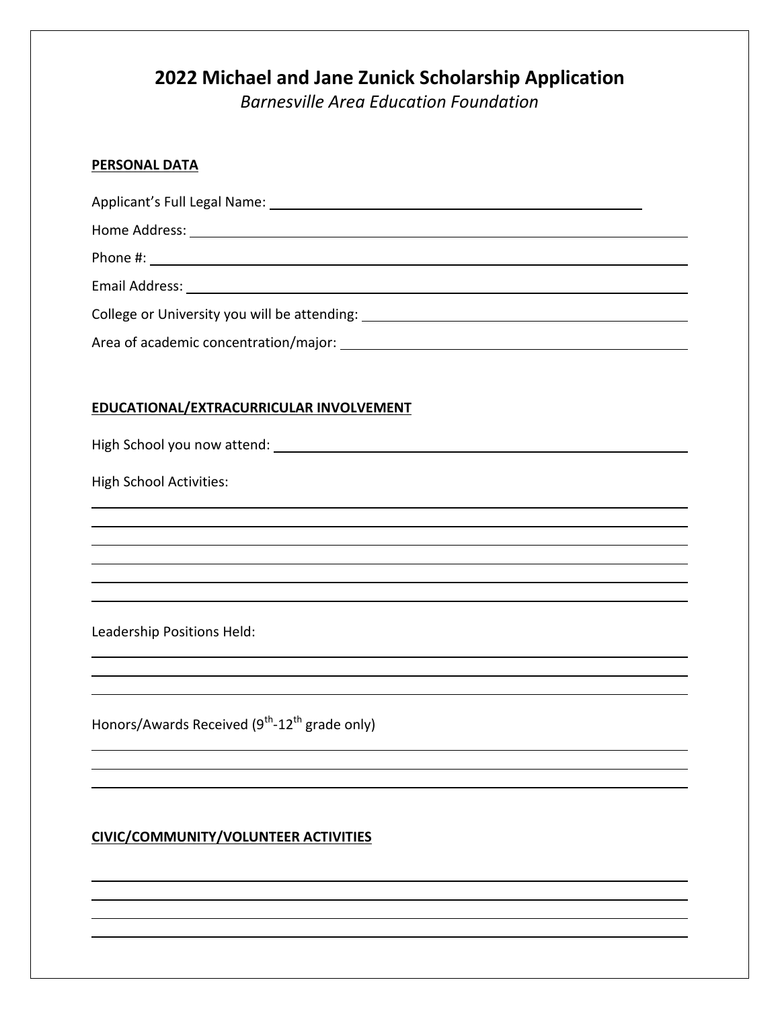# **2022 Michael and Jane Zunick Scholarship Application**

*Barnesville Area Education Foundation*

### **PERSONAL DATA**

| College or University you will be attending: ___________________________________ |
|----------------------------------------------------------------------------------|
|                                                                                  |
|                                                                                  |
| <b>EDUCATIONAL/EXTRACURRICULAR INVOLVEMENT</b>                                   |
|                                                                                  |
| <b>High School Activities:</b>                                                   |
|                                                                                  |
|                                                                                  |
| ,我们也不会有什么。""我们的人,我们也不会有什么?""我们的人,我们也不会有什么?""我们的人,我们也不会有什么?""我们的人,我们也不会有什么?""我们的人 |
|                                                                                  |
| Leadership Positions Held:                                                       |

Honors/Awards Received (9<sup>th</sup>-12<sup>th</sup> grade only)

### **CIVIC/COMMUNITY/VOLUNTEER ACTIVITIES**